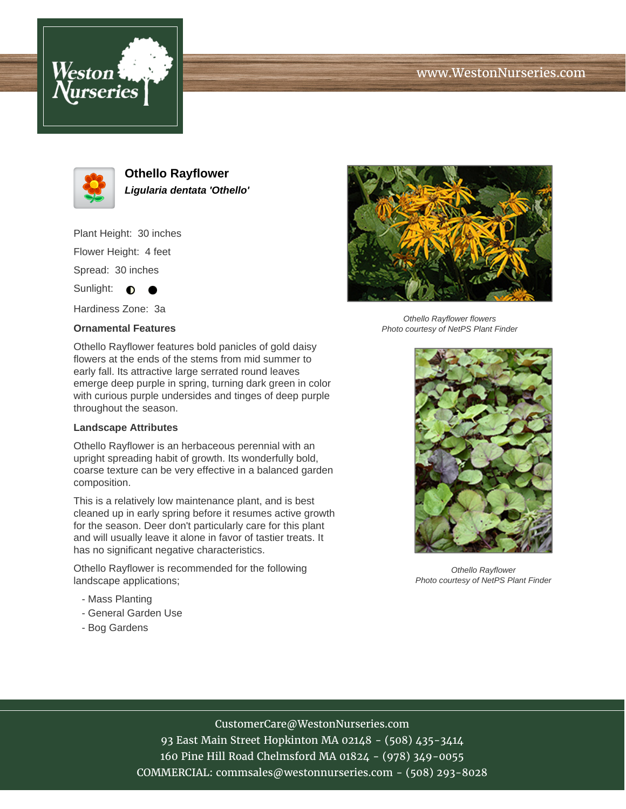# www.WestonNurseries.com





**Othello Rayflower Ligularia dentata 'Othello'**

Plant Height: 30 inches Flower Height: 4 feet Spread: 30 inches

Sunlight:  $\bullet$  $\bullet$ 

Hardiness Zone: 3a

### **Ornamental Features**

Othello Rayflower features bold panicles of gold daisy flowers at the ends of the stems from mid summer to early fall. Its attractive large serrated round leaves emerge deep purple in spring, turning dark green in color with curious purple undersides and tinges of deep purple throughout the season.

#### **Landscape Attributes**

Othello Rayflower is an herbaceous perennial with an upright spreading habit of growth. Its wonderfully bold, coarse texture can be very effective in a balanced garden composition.

This is a relatively low maintenance plant, and is best cleaned up in early spring before it resumes active growth for the season. Deer don't particularly care for this plant and will usually leave it alone in favor of tastier treats. It has no significant negative characteristics.

Othello Rayflower is recommended for the following landscape applications;

- Mass Planting
- General Garden Use
- Bog Gardens



Othello Rayflower flowers Photo courtesy of NetPS Plant Finder



Othello Rayflower Photo courtesy of NetPS Plant Finder

## CustomerCare@WestonNurseries.com

93 East Main Street Hopkinton MA 02148 - (508) 435-3414 160 Pine Hill Road Chelmsford MA 01824 - (978) 349-0055 COMMERCIAL: commsales@westonnurseries.com - (508) 293-8028